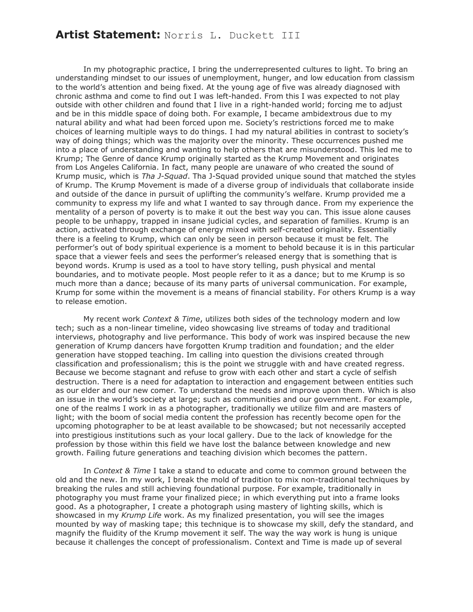## **Artist Statement:** Norris L. Duckett III

In my photographic practice, I bring the underrepresented cultures to light. To bring an understanding mindset to our issues of unemployment, hunger, and low education from classism to the world's attention and being fixed. At the young age of five was already diagnosed with chronic asthma and come to find out I was left-handed. From this I was expected to not play outside with other children and found that I live in a right-handed world; forcing me to adjust and be in this middle space of doing both. For example, I became ambidextrous due to my natural ability and what had been forced upon me. Society's restrictions forced me to make choices of learning multiple ways to do things. I had my natural abilities in contrast to society's way of doing things; which was the majority over the minority. These occurrences pushed me into a place of understanding and wanting to help others that are misunderstood. This led me to Krump; The Genre of dance Krump originally started as the Krump Movement and originates from Los Angeles California. In fact, many people are unaware of who created the sound of Krump music, which is *Tha J-Squad*. Tha J-Squad provided unique sound that matched the styles of Krump. The Krump Movement is made of a diverse group of individuals that collaborate inside and outside of the dance in pursuit of uplifting the community's welfare. Krump provided me a community to express my life and what I wanted to say through dance. From my experience the mentality of a person of poverty is to make it out the best way you can. This issue alone causes people to be unhappy, trapped in insane judicial cycles, and separation of families. Krump is an action, activated through exchange of energy mixed with self-created originality. Essentially there is a feeling to Krump, which can only be seen in person because it must be felt. The performer's out of body spiritual experience is a moment to behold because it is in this particular space that a viewer feels and sees the performer's released energy that is something that is beyond words. Krump is used as a tool to have story telling, push physical and mental boundaries, and to motivate people. Most people refer to it as a dance; but to me Krump is so much more than a dance; because of its many parts of universal communication. For example, Krump for some within the movement is a means of financial stability. For others Krump is a way to release emotion.

My recent work *Context & Time*, utilizes both sides of the technology modern and low tech; such as a non-linear timeline, video showcasing live streams of today and traditional interviews, photography and live performance. This body of work was inspired because the new generation of Krump dancers have forgotten Krump tradition and foundation; and the elder generation have stopped teaching. Im calling into question the divisions created through classification and professionalism; this is the point we struggle with and have created regress. Because we become stagnant and refuse to grow with each other and start a cycle of selfish destruction. There is a need for adaptation to interaction and engagement between entities such as our elder and our new comer. To understand the needs and improve upon them. Which is also an issue in the world's society at large; such as communities and our government. For example, one of the realms I work in as a photographer, traditionally we utilize film and are masters of light; with the boom of social media content the profession has recently become open for the upcoming photographer to be at least available to be showcased; but not necessarily accepted into prestigious institutions such as your local gallery. Due to the lack of knowledge for the profession by those within this field we have lost the balance between knowledge and new growth. Failing future generations and teaching division which becomes the pattern.

In *Context & Time* I take a stand to educate and come to common ground between the old and the new. In my work, I break the mold of tradition to mix non-traditional techniques by breaking the rules and still achieving foundational purpose. For example, traditionally in photography you must frame your finalized piece; in which everything put into a frame looks good. As a photographer, I create a photograph using mastery of lighting skills, which is showcased in my *Krump Life* work. As my finalized presentation, you will see the images mounted by way of masking tape; this technique is to showcase my skill, defy the standard, and magnify the fluidity of the Krump movement it self. The way the way work is hung is unique because it challenges the concept of professionalism. Context and Time is made up of several